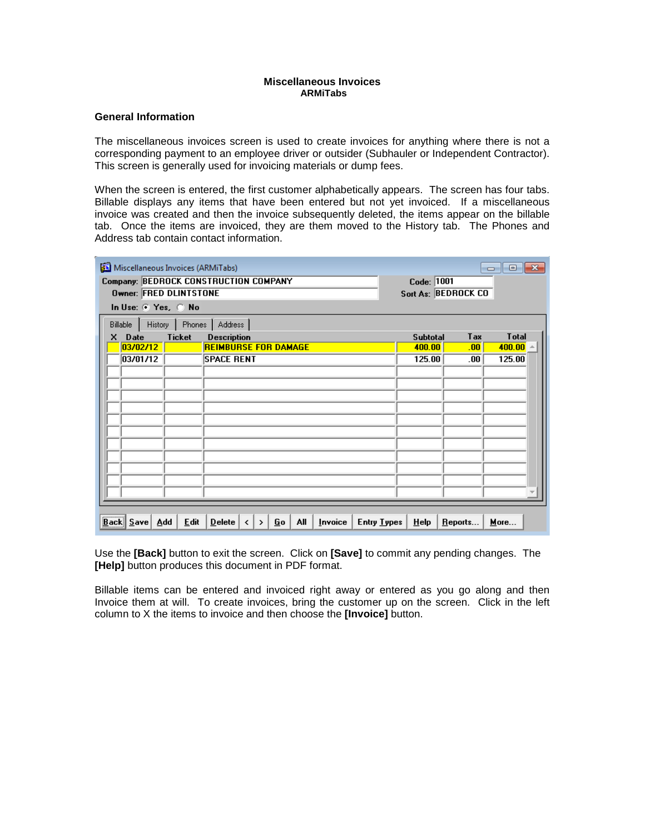## **Miscellaneous Invoices ARMiTabs**

## **General Information**

The miscellaneous invoices screen is used to create invoices for anything where there is not a corresponding payment to an employee driver or outsider (Subhauler or Independent Contractor). This screen is generally used for invoicing materials or dump fees.

When the screen is entered, the first customer alphabetically appears. The screen has four tabs. Billable displays any items that have been entered but not yet invoiced. If a miscellaneous invoice was created and then the invoice subsequently deleted, the items appear on the billable tab. Once the items are invoiced, they are them moved to the History tab. The Phones and Address tab contain contact information.

| Miscellaneous Invoices (ARMiTabs)                                                         | $\begin{array}{c c c c c c} \hline \multicolumn{3}{c }{\mathbf{C}} & \multicolumn{3}{c }{\mathbf{X}} \end{array}$ |  |
|-------------------------------------------------------------------------------------------|-------------------------------------------------------------------------------------------------------------------|--|
| Company: BEDROCK CONSTRUCTION COMPANY<br><b>Owner: FRED DLINTSTONE</b>                    | Code: 1001<br>Sort As: BEDROCK CO                                                                                 |  |
| In Use: $\odot$ Yes, $\odot$ No                                                           |                                                                                                                   |  |
| Phones<br>History<br>Address  <br>Billable                                                |                                                                                                                   |  |
| <b>Ticket</b><br><b>Description</b><br>Date<br>x                                          | <b>Total</b><br>Tax<br><b>Subtotal</b>                                                                            |  |
| 03/02/12<br><b>REIMBURSE FOR DAMAGE</b>                                                   | 400.00<br>400.00<br>.00 <sub>1</sub>                                                                              |  |
| 03/01/12<br><b>SPACE RENT</b>                                                             | 125.00<br>125.00<br>.00                                                                                           |  |
|                                                                                           |                                                                                                                   |  |
|                                                                                           |                                                                                                                   |  |
|                                                                                           |                                                                                                                   |  |
|                                                                                           |                                                                                                                   |  |
|                                                                                           |                                                                                                                   |  |
|                                                                                           |                                                                                                                   |  |
|                                                                                           |                                                                                                                   |  |
|                                                                                           |                                                                                                                   |  |
|                                                                                           |                                                                                                                   |  |
|                                                                                           |                                                                                                                   |  |
|                                                                                           |                                                                                                                   |  |
|                                                                                           |                                                                                                                   |  |
|                                                                                           |                                                                                                                   |  |
| <b>Edit</b><br>All<br>$Back \overline{S}$ ave<br>Add<br>Delete<br>Invoice<br>Go<br>><br>≺ | <b>Entry Types</b><br>Help<br>More<br>Reports                                                                     |  |

Use the **[Back]** button to exit the screen. Click on **[Save]** to commit any pending changes. The **[Help]** button produces this document in PDF format.

Billable items can be entered and invoiced right away or entered as you go along and then Invoice them at will. To create invoices, bring the customer up on the screen. Click in the left column to X the items to invoice and then choose the **[Invoice]** button.